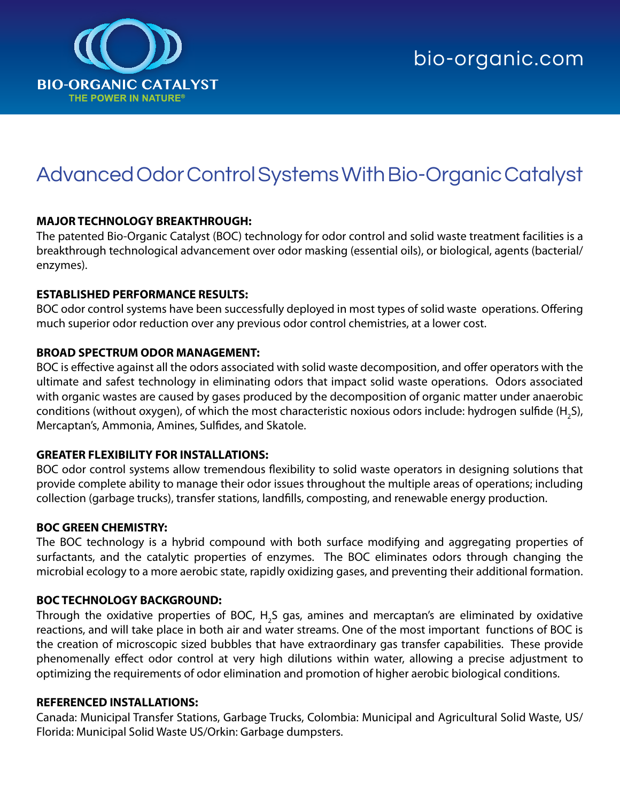

# Advanced Odor Control Systems With Bio-Organic Catalyst

# **MAJOR TECHNOLOGY BREAKTHROUGH:**

The patented Bio-Organic Catalyst (BOC) technology for odor control and solid waste treatment facilities is a breakthrough technological advancement over odor masking (essential oils), or biological, agents (bacterial/ enzymes).

# **ESTABLISHED PERFORMANCE RESULTS:**

BOC odor control systems have been successfully deployed in most types of solid waste operations. Offering much superior odor reduction over any previous odor control chemistries, at a lower cost.

# **BROAD SPECTRUM ODOR MANAGEMENT:**

BOC is effective against all the odors associated with solid waste decomposition, and offer operators with the ultimate and safest technology in eliminating odors that impact solid waste operations. Odors associated with organic wastes are caused by gases produced by the decomposition of organic matter under anaerobic conditions (without oxygen), of which the most characteristic noxious odors include: hydrogen sulfide (H<sub>2</sub>S), Mercaptan's, Ammonia, Amines, Sulfides, and Skatole.

# **GREATER FLEXIBILITY FOR INSTALLATIONS:**

BOC odor control systems allow tremendous flexibility to solid waste operators in designing solutions that provide complete ability to manage their odor issues throughout the multiple areas of operations; including collection (garbage trucks), transfer stations, landfills, composting, and renewable energy production.

#### **BOC GREEN CHEMISTRY:**

The BOC technology is a hybrid compound with both surface modifying and aggregating properties of surfactants, and the catalytic properties of enzymes. The BOC eliminates odors through changing the microbial ecology to a more aerobic state, rapidly oxidizing gases, and preventing their additional formation.

#### **BOC TECHNOLOGY BACKGROUND:**

Through the oxidative properties of BOC,  $H_{2}$ S gas, amines and mercaptan's are eliminated by oxidative reactions, and will take place in both air and water streams. One of the most important functions of BOC is the creation of microscopic sized bubbles that have extraordinary gas transfer capabilities. These provide phenomenally effect odor control at very high dilutions within water, allowing a precise adjustment to optimizing the requirements of odor elimination and promotion of higher aerobic biological conditions.

#### **REFERENCED INSTALLATIONS:**

Canada: Municipal Transfer Stations, Garbage Trucks, Colombia: Municipal and Agricultural Solid Waste, US/ Florida: Municipal Solid Waste US/Orkin: Garbage dumpsters.